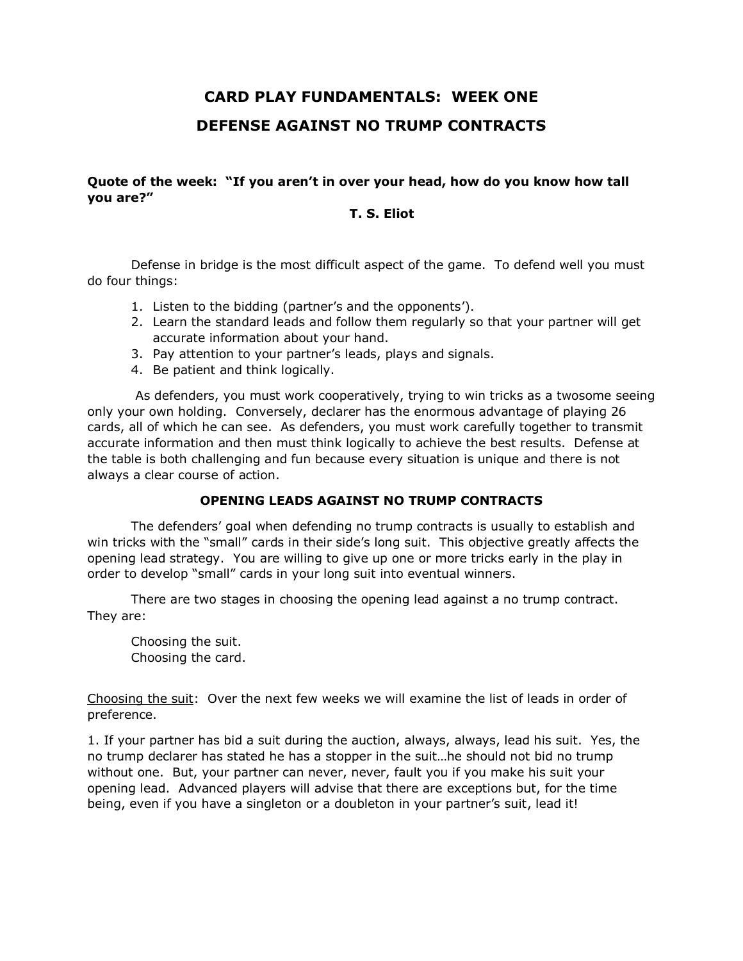## **CARD PLAY FUNDAMENTALS: WEEK ONE DEFENSE AGAINST NO TRUMP CONTRACTS**

**Quote of the week: "If you aren't in over your head, how do you know how tall you are?"** 

## **T. S. Eliot**

Defense in bridge is the most difficult aspect of the game. To defend well you must do four things:

- 1. Listen to the bidding (partner's and the opponents').
- 2. Learn the standard leads and follow them regularly so that your partner will get accurate information about your hand.
- 3. Pay attention to your partner's leads, plays and signals.
- 4. Be patient and think logically.

As defenders, you must work cooperatively, trying to win tricks as a twosome seeing only your own holding. Conversely, declarer has the enormous advantage of playing 26 cards, all of which he can see. As defenders, you must work carefully together to transmit accurate information and then must think logically to achieve the best results. Defense at the table is both challenging and fun because every situation is unique and there is not always a clear course of action.

## **OPENING LEADS AGAINST NO TRUMP CONTRACTS**

The defenders' goal when defending no trump contracts is usually to establish and win tricks with the "small" cards in their side's long suit. This objective greatly affects the opening lead strategy. You are willing to give up one or more tricks early in the play in order to develop "small" cards in your long suit into eventual winners.

There are two stages in choosing the opening lead against a no trump contract. They are:

Choosing the suit. Choosing the card.

Choosing the suit: Over the next few weeks we will examine the list of leads in order of preference.

1. If your partner has bid a suit during the auction, always, always, lead his suit. Yes, the no trump declarer has stated he has a stopper in the suit…he should not bid no trump without one. But, your partner can never, never, fault you if you make his suit your opening lead. Advanced players will advise that there are exceptions but, for the time being, even if you have a singleton or a doubleton in your partner's suit, lead it!